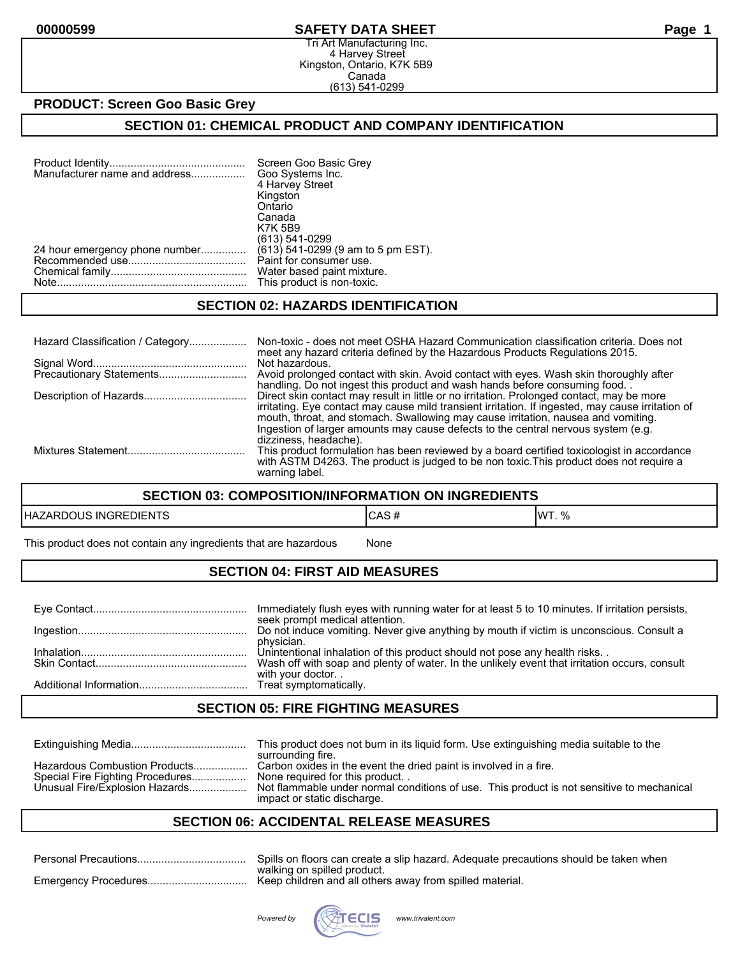#### **00000599 SAFETY DATA SHEET Page 1**

Tri Art Manufacturing Inc. 4 Harvey Street Kingston, Ontario, K7K 5B9 Canada (613) 541-0299

#### **PRODUCT: Screen Goo Basic Grey**

#### **SECTION 01: CHEMICAL PRODUCT AND COMPANY IDENTIFICATION**

| Manufacturer name and address  | Screen Goo Basic Grey<br>Goo Systems Inc.<br>4 Harvey Street<br>Kingston |
|--------------------------------|--------------------------------------------------------------------------|
|                                | Ontario<br>Canada                                                        |
|                                | <b>K7K 5B9</b><br>(613) 541-0299                                         |
| 24 hour emergency phone number | (613) 541-0299 (9 am to 5 pm EST).                                       |
|                                | Paint for consumer use.<br>Water based paint mixture.                    |
|                                | This product is non-toxic.                                               |

#### **SECTION 02: HAZARDS IDENTIFICATION**

| Hazard Classification / Category | Non-toxic - does not meet OSHA Hazard Communication classification criteria. Does not<br>meet any hazard criteria defined by the Hazardous Products Regulations 2015.                                                                                                                                                                                                    |
|----------------------------------|--------------------------------------------------------------------------------------------------------------------------------------------------------------------------------------------------------------------------------------------------------------------------------------------------------------------------------------------------------------------------|
|                                  | Not hazardous.<br>Avoid prolonged contact with skin. Avoid contact with eyes. Wash skin thoroughly after<br>handling. Do not ingest this product and wash hands before consuming food.                                                                                                                                                                                   |
|                                  | Direct skin contact may result in little or no irritation. Prolonged contact, may be more<br>irritating. Eye contact may cause mild transient irritation. If ingested, may cause irritation of<br>mouth, throat, and stomach. Swallowing may cause irritation, nausea and vomiting.<br>Ingestion of larger amounts may cause defects to the central nervous system (e.g. |
|                                  | dizziness, headache).<br>This product formulation has been reviewed by a board certified toxicologist in accordance<br>with ASTM D4263. The product is judged to be non toxic. This product does not require a<br>warning label.                                                                                                                                         |

#### **SECTION 03: COMPOSITION/INFORMATION ON INGREDIENTS**

| EDIENTS      | . E        | 11MT |
|--------------|------------|------|
| HAZARDOUS    | טרש        | 0/2  |
| <b>INGRE</b> | $\bm{\pi}$ | 1.70 |

This product does not contain any ingredients that are hazardous Mone

### **SECTION 04: FIRST AID MEASURES**

| Immediately flush eyes with running water for at least 5 to 10 minutes. If irritation persists,<br>seek prompt medical attention. |
|-----------------------------------------------------------------------------------------------------------------------------------|
| Do not induce vomiting. Never give anything by mouth if victim is unconscious. Consult a                                          |
| physician.<br>Unintentional inhalation of this product should not pose any health risks                                           |
| Wash off with soap and plenty of water. In the unlikely event that irritation occurs, consult<br>with your doctor                 |
|                                                                                                                                   |

#### **SECTION 05: FIRE FIGHTING MEASURES**

|                                                                                                     | This product does not burn in its liquid form. Use extinguishing media suitable to the<br>surrounding fire.                                                                                                                     |
|-----------------------------------------------------------------------------------------------------|---------------------------------------------------------------------------------------------------------------------------------------------------------------------------------------------------------------------------------|
| Hazardous Combustion Products<br>Special Fire Fighting Procedures<br>Unusual Fire/Explosion Hazards | Carbon oxides in the event the dried paint is involved in a fire.<br>None required for this product<br>Not flammable under normal conditions of use. This product is not sensitive to mechanical<br>impact or static discharge. |

### **SECTION 06: ACCIDENTAL RELEASE MEASURES**

| Spills on floors can create a slip hazard. Adequate precautions should be taken when |
|--------------------------------------------------------------------------------------|
| walking on spilled product.                                                          |

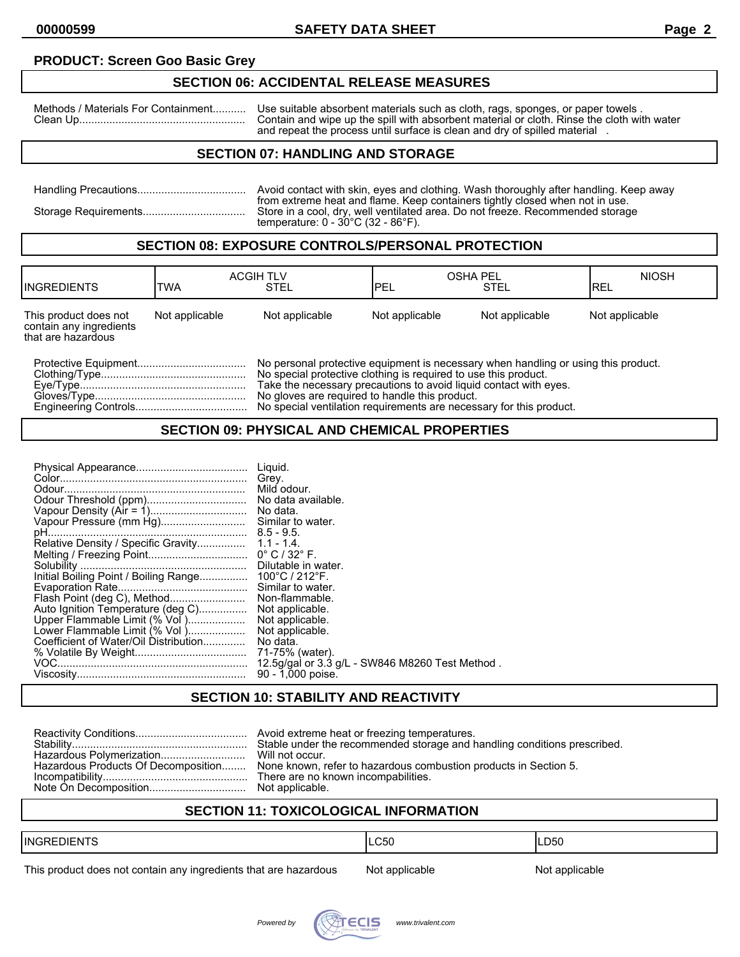#### **PRODUCT: Screen Goo Basic Grey**

#### **SECTION 06: ACCIDENTAL RELEASE MEASURES**

Methods / Materials For Containment........... Use suitable absorbent materials such as cloth, rags, sponges, or paper towels . Clean Up....................................................... Contain and wipe up the spill with absorbent material or cloth. Rinse the cloth with water and repeat the process until surface is clean and dry of spilled material .

### **SECTION 07: HANDLING AND STORAGE**

| Avoid contact with skin, eyes and clothing. Wash thoroughly after handling. Keep away                                                                                                                                     |
|---------------------------------------------------------------------------------------------------------------------------------------------------------------------------------------------------------------------------|
| from extreme heat and flame. Keep containers tightly closed when not in use.<br>Store in a cool, dry, well ventilated area. Do not freeze. Recommended storage<br>temperature: $0 - 30^{\circ}$ C (32 - 86 $^{\circ}$ F). |

#### **SECTION 08: EXPOSURE CONTROLS/PERSONAL PROTECTION**

| <b>IINGREDIENTS</b>                                                    | TWA            | <b>ACGIH TLV</b><br>STEL                                                                                                                                                                                                                                                     | <b>OSHA PEL</b><br><b>IPEL</b> | <b>STEL</b>    | <b>NIOSH</b><br>IREL |
|------------------------------------------------------------------------|----------------|------------------------------------------------------------------------------------------------------------------------------------------------------------------------------------------------------------------------------------------------------------------------------|--------------------------------|----------------|----------------------|
| This product does not<br>contain any ingredients<br>that are hazardous | Not applicable | Not applicable                                                                                                                                                                                                                                                               | Not applicable                 | Not applicable | Not applicable       |
|                                                                        |                | No personal protective equipment is necessary when handling or using this product.<br>No special protective clothing is required to use this product.<br>Take the necessary precautions to avoid liquid contact with eves.<br>No gloves are required to handle this product. |                                |                |                      |

Engineering Controls..................................... No special ventilation requirements are necessary for this product.

#### **SECTION 09: PHYSICAL AND CHEMICAL PROPERTIES**

### **SECTION 10: STABILITY AND REACTIVITY**

| Stable under the recommended storage and handling conditions prescribed.                             |
|------------------------------------------------------------------------------------------------------|
| Hazardous Products Of Decomposition None known, refer to hazardous combustion products in Section 5. |
| There are no known incompabilities.                                                                  |

### **SECTION 11: TOXICOLOGICAL INFORMATION**

| <b>I</b> ING                                                                               | ∩⊼∩ | LD <sub>50</sub> |
|--------------------------------------------------------------------------------------------|-----|------------------|
|                                                                                            | vuu | __               |
| ______<br>,我们也不会有什么?""我们的话,我们也不会有什么?""我们的话,我们也不会有什么?""我们的话,我们也不会有什么?""我们的话,我们也不会有什么?""我们的话 |     |                  |

This product does not contain any ingredients that are hazardous Not applicable Not applicable

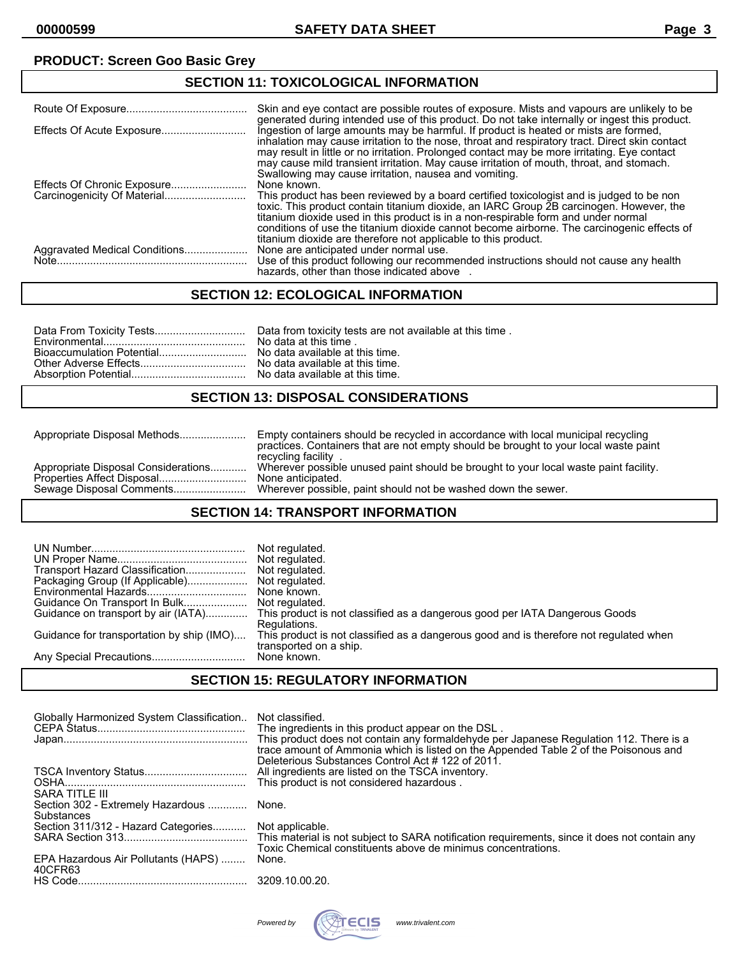# **PRODUCT: Screen Goo Basic Grey**

### **SECTION 11: TOXICOLOGICAL INFORMATION**

|                               | Skin and eye contact are possible routes of exposure. Mists and vapours are unlikely to be<br>generated during intended use of this product. Do not take internally or ingest this product.                                                                                                                                                                                                                                                              |
|-------------------------------|----------------------------------------------------------------------------------------------------------------------------------------------------------------------------------------------------------------------------------------------------------------------------------------------------------------------------------------------------------------------------------------------------------------------------------------------------------|
|                               | Ingestion of large amounts may be harmful. If product is heated or mists are formed,<br>inhalation may cause irritation to the nose, throat and respiratory tract. Direct skin contact<br>may result in little or no irritation. Prolonged contact may be more irritating. Eye contact<br>may cause mild transient irritation. May cause irritation of mouth, throat, and stomach.<br>Swallowing may cause irritation, nausea and vomiting.              |
|                               | None known.<br>This product has been reviewed by a board certified toxicologist and is judged to be non<br>toxic. This product contain titanium dioxide, an IARC Group 2B carcinogen. However, the<br>titanium dioxide used in this product is in a non-respirable form and under normal<br>conditions of use the titanium dioxide cannot become airborne. The carcinogenic effects of<br>titanium dioxide are therefore not applicable to this product. |
| Aggravated Medical Conditions | None are anticipated under normal use.<br>Use of this product following our recommended instructions should not cause any health<br>hazards, other than those indicated above                                                                                                                                                                                                                                                                            |

### **SECTION 12: ECOLOGICAL INFORMATION**

#### **SECTION 13: DISPOSAL CONSIDERATIONS**

|                                     | Empty containers should be recycled in accordance with local municipal recycling<br>practices. Containers that are not empty should be brought to your local waste paint<br>recycling facility |
|-------------------------------------|------------------------------------------------------------------------------------------------------------------------------------------------------------------------------------------------|
| Appropriate Disposal Considerations | Wherever possible unused paint should be brought to your local waste paint facility.                                                                                                           |
|                                     | None anticipated.                                                                                                                                                                              |
| Sewage Disposal Comments            | Wherever possible, paint should not be washed down the sewer.                                                                                                                                  |

### **SECTION 14: TRANSPORT INFORMATION**

| Guidance on transport by air (IATA)<br>Guidance for transportation by ship (IMO) | Not regulated.<br>Not regulated.<br>None known.<br>This product is not classified as a dangerous good per IATA Dangerous Goods<br>Regulations.<br>This product is not classified as a dangerous good and is therefore not regulated when<br>transported on a ship. |
|----------------------------------------------------------------------------------|--------------------------------------------------------------------------------------------------------------------------------------------------------------------------------------------------------------------------------------------------------------------|
|                                                                                  | None known.                                                                                                                                                                                                                                                        |

### **SECTION 15: REGULATORY INFORMATION**

| Globally Harmonized System Classification                                | Not classified.<br>The ingredients in this product appear on the DSL.<br>This product does not contain any formaldehyde per Japanese Regulation 112. There is a<br>trace amount of Ammonia which is listed on the Appended Table 2 of the Poisonous and<br>Deleterious Substances Control Act #122 of 2011. |
|--------------------------------------------------------------------------|-------------------------------------------------------------------------------------------------------------------------------------------------------------------------------------------------------------------------------------------------------------------------------------------------------------|
| SARA TITLE III<br>Section 302 - Extremely Hazardous  None.<br>Substances |                                                                                                                                                                                                                                                                                                             |
| Section 311/312 - Hazard Categories Not applicable.                      | Toxic Chemical constituents above de minimus concentrations.                                                                                                                                                                                                                                                |
| EPA Hazardous Air Pollutants (HAPS)<br>40CFR63                           | None.                                                                                                                                                                                                                                                                                                       |
|                                                                          |                                                                                                                                                                                                                                                                                                             |